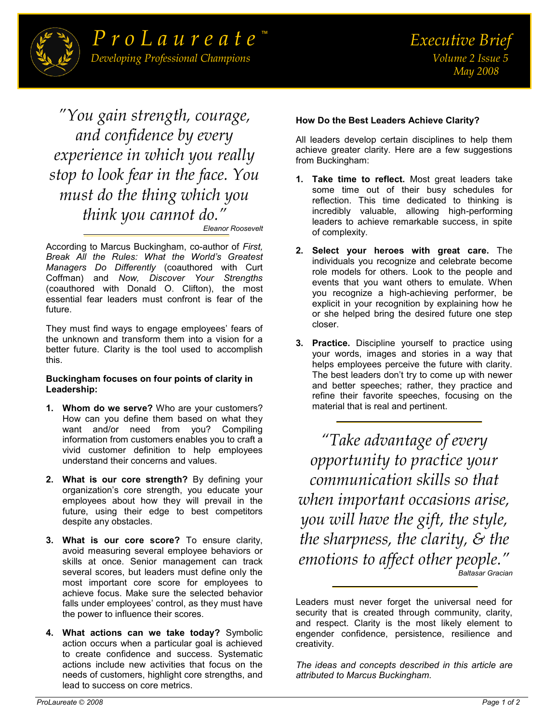

*"You gain strength, courage, and confidence by every experience in which you really stop to look fear in the face. You must do the thing which you think you cannot do." [Eleanor Roosevelt](http://www.wisdomquotes.com/000291.html)*

According to Marcus Buckingham, co-author of *First, Break All the Rules: What the World's Greatest Managers Do Differently* (coauthored with Curt Coffman) and *Now, Discover Your Strengths*  (coauthored with Donald O. Clifton), the most essential fear leaders must confront is fear of the future.

They must find ways to engage employees' fears of the unknown and transform them into a vision for a better future. Clarity is the tool used to accomplish this.

## **Buckingham focuses on four points of clarity in Leadership:**

- **1. Whom do we serve?** Who are your customers? How can you define them based on what they want and/or need from you? Compiling information from customers enables you to craft a vivid customer definition to help employees understand their concerns and values.
- **2. What is our core strength?** By defining your organization's core strength, you educate your employees about how they will prevail in the future, using their edge to best competitors despite any obstacles.
- **3. What is our core score?** To ensure clarity, avoid measuring several employee behaviors or skills at once. Senior management can track several scores, but leaders must define only the most important core score for employees to achieve focus. Make sure the selected behavior falls under employees' control, as they must have the power to influence their scores.
- **4. What actions can we take today?** Symbolic action occurs when a particular goal is achieved to create confidence and success. Systematic actions include new activities that focus on the needs of customers, highlight core strengths, and lead to success on core metrics.

## **How Do the Best Leaders Achieve Clarity?**

All leaders develop certain disciplines to help them achieve greater clarity. Here are a few suggestions from Buckingham:

- **1. Take time to reflect.** Most great leaders take some time out of their busy schedules for reflection. This time dedicated to thinking is incredibly valuable, allowing high-performing leaders to achieve remarkable success, in spite of complexity.
- **2. Select your heroes with great care.** The individuals you recognize and celebrate become role models for others. Look to the people and events that you want others to emulate. When you recognize a high-achieving performer, be explicit in your recognition by explaining how he or she helped bring the desired future one step closer.
- **3. Practice.** Discipline yourself to practice using your words, images and stories in a way that helps employees perceive the future with clarity. The best leaders don't try to come up with newer and better speeches; rather, they practice and refine their favorite speeches, focusing on the material that is real and pertinent.

*"[Take advantage of every](http://thinkexist.com/quotation/take_advantage_of_every_opportunity_to_practice/256306.html)  [opportunity to practice your](http://thinkexist.com/quotation/take_advantage_of_every_opportunity_to_practice/256306.html)  [communication skills so that](http://thinkexist.com/quotation/take_advantage_of_every_opportunity_to_practice/256306.html)  [when important occasions arise,](http://thinkexist.com/quotation/take_advantage_of_every_opportunity_to_practice/256306.html)  [you will have the gift, the style,](http://thinkexist.com/quotation/take_advantage_of_every_opportunity_to_practice/256306.html)  [the sharpness, the clarity, & the](http://thinkexist.com/quotation/take_advantage_of_every_opportunity_to_practice/256306.html)  [emotions to affect other people.](http://thinkexist.com/quotation/take_advantage_of_every_opportunity_to_practice/256306.html)" [Baltasar Gracian](http://www.wisdomquotes.com/003237.html)* 

Leaders must never forget the universal need for security that is created through community, clarity, and respect. Clarity is the most likely element to engender confidence, persistence, resilience and creativity.

*The ideas and concepts described in this article are attributed to Marcus Buckingham.*